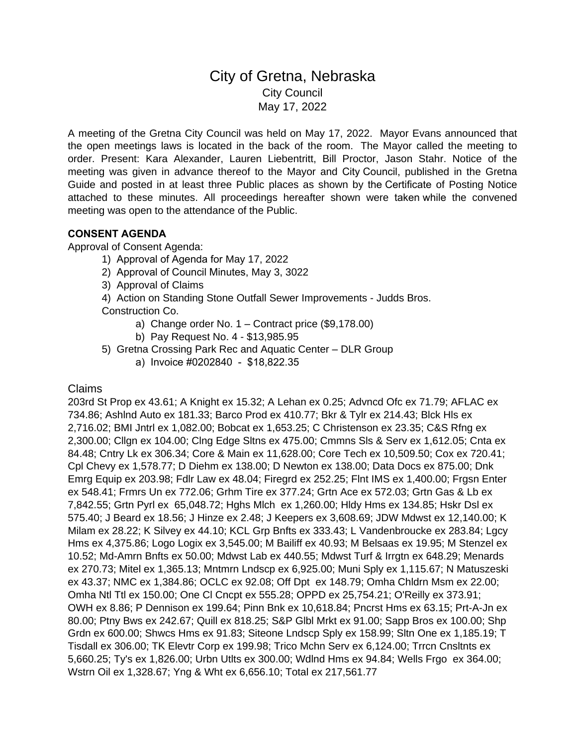# City of Gretna, Nebraska City Council May 17, 2022

A meeting of the Gretna City Council was held on May 17, 2022. Mayor Evans announced that the open meetings laws is located in the back of the room. The Mayor called the meeting to order. Present: Kara Alexander, Lauren Liebentritt, Bill Proctor, Jason Stahr. Notice of the meeting was given in advance thereof to the Mayor and City Council, published in the Gretna Guide and posted in at least three Public places as shown by the Certificate of Posting Notice attached to these minutes. All proceedings hereafter shown were taken while the convened meeting was open to the attendance of the Public.

## **CONSENT AGENDA**

Approval of Consent Agenda:

- 1) Approval of Agenda for May 17, 2022
- 2) Approval of Council Minutes, May 3, 3022
- 3) Approval of Claims
- 4) Action on Standing Stone Outfall Sewer Improvements Judds Bros. Construction Co.
	- a) Change order No. 1 Contract price (\$9,178.00)
	- b) Pay Request No. 4 \$13,985.95
- 5) Gretna Crossing Park Rec and Aquatic Center DLR Group
	- a) Invoice #0202840 \$18,822.35

### Claims

203rd St Prop ex 43.61; A Knight ex 15.32; A Lehan ex 0.25; Advncd Ofc ex 71.79; AFLAC ex 734.86; Ashlnd Auto ex 181.33; Barco Prod ex 410.77; Bkr & Tylr ex 214.43; Blck Hls ex 2,716.02; BMI Jntrl ex 1,082.00; Bobcat ex 1,653.25; C Christenson ex 23.35; C&S Rfng ex 2,300.00; Cllgn ex 104.00; Clng Edge Sltns ex 475.00; Cmmns Sls & Serv ex 1,612.05; Cnta ex 84.48; Cntry Lk ex 306.34; Core & Main ex 11,628.00; Core Tech ex 10,509.50; Cox ex 720.41; Cpl Chevy ex 1,578.77; D Diehm ex 138.00; D Newton ex 138.00; Data Docs ex 875.00; Dnk Emrg Equip ex 203.98; Fdlr Law ex 48.04; Firegrd ex 252.25; Flnt IMS ex 1,400.00; Frgsn Enter ex 548.41; Frmrs Un ex 772.06; Grhm Tire ex 377.24; Grtn Ace ex 572.03; Grtn Gas & Lb ex 7,842.55; Grtn Pyrl ex 65,048.72; Hghs Mlch ex 1,260.00; Hldy Hms ex 134.85; Hskr Dsl ex 575.40; J Beard ex 18.56; J Hinze ex 2.48; J Keepers ex 3,608.69; JDW Mdwst ex 12,140.00; K Milam ex 28.22; K Silvey ex 44.10; KCL Grp Bnfts ex 333.43; L Vandenbroucke ex 283.84; Lgcy Hms ex 4,375.86; Logo Logix ex 3,545.00; M Bailiff ex 40.93; M Belsaas ex 19.95; M Stenzel ex 10.52; Md-Amrn Bnfts ex 50.00; Mdwst Lab ex 440.55; Mdwst Turf & Irrgtn ex 648.29; Menards ex 270.73; Mitel ex 1,365.13; Mntmrn Lndscp ex 6,925.00; Muni Sply ex 1,115.67; N Matuszeski ex 43.37; NMC ex 1,384.86; OCLC ex 92.08; Off Dpt ex 148.79; Omha Chldrn Msm ex 22.00; Omha Ntl Ttl ex 150.00; One Cl Cncpt ex 555.28; OPPD ex 25,754.21; O'Reilly ex 373.91; OWH ex 8.86; P Dennison ex 199.64; Pinn Bnk ex 10,618.84; Pncrst Hms ex 63.15; Prt-A-Jn ex 80.00; Ptny Bws ex 242.67; Quill ex 818.25; S&P Glbl Mrkt ex 91.00; Sapp Bros ex 100.00; Shp Grdn ex 600.00; Shwcs Hms ex 91.83; Siteone Lndscp Sply ex 158.99; Sltn One ex 1,185.19; T Tisdall ex 306.00; TK Elevtr Corp ex 199.98; Trico Mchn Serv ex 6,124.00; Trrcn Cnsltnts ex 5,660.25; Ty's ex 1,826.00; Urbn Utlts ex 300.00; Wdlnd Hms ex 94.84; Wells Frgo ex 364.00; Wstrn Oil ex 1,328.67; Yng & Wht ex 6,656.10; Total ex 217,561.77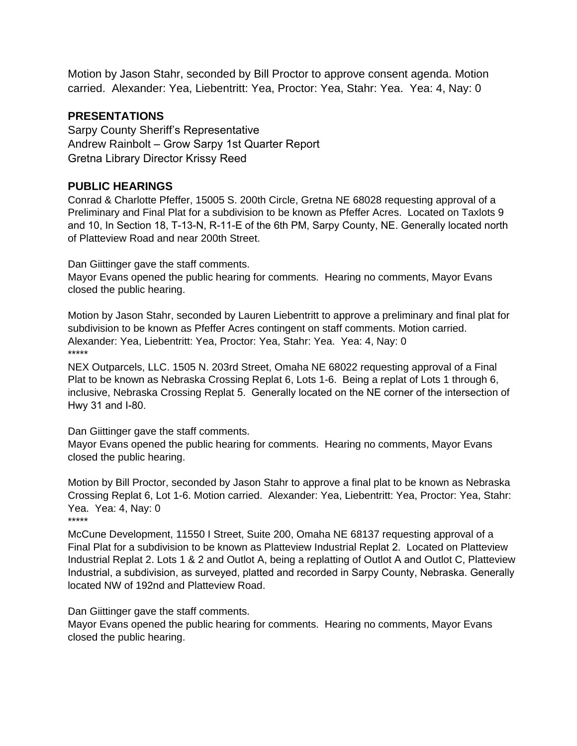Motion by Jason Stahr, seconded by Bill Proctor to approve consent agenda. Motion carried. Alexander: Yea, Liebentritt: Yea, Proctor: Yea, Stahr: Yea. Yea: 4, Nay: 0

# **PRESENTATIONS**

Sarpy County Sheriff's Representative Andrew Rainbolt – Grow Sarpy 1st Quarter Report Gretna Library Director Krissy Reed

# **PUBLIC HEARINGS**

Conrad & Charlotte Pfeffer, 15005 S. 200th Circle, Gretna NE 68028 requesting approval of a Preliminary and Final Plat for a subdivision to be known as Pfeffer Acres. Located on Taxlots 9 and 10, In Section 18, T-13-N, R-11-E of the 6th PM, Sarpy County, NE. Generally located north of Platteview Road and near 200th Street.

Dan Giittinger gave the staff comments.

Mayor Evans opened the public hearing for comments. Hearing no comments, Mayor Evans closed the public hearing.

Motion by Jason Stahr, seconded by Lauren Liebentritt to approve a preliminary and final plat for subdivision to be known as Pfeffer Acres contingent on staff comments. Motion carried. Alexander: Yea, Liebentritt: Yea, Proctor: Yea, Stahr: Yea. Yea: 4, Nay: 0 \*\*\*\*\*

NEX Outparcels, LLC. 1505 N. 203rd Street, Omaha NE 68022 requesting approval of a Final Plat to be known as Nebraska Crossing Replat 6, Lots 1-6. Being a replat of Lots 1 through 6, inclusive, Nebraska Crossing Replat 5. Generally located on the NE corner of the intersection of Hwy 31 and I-80.

Dan Giittinger gave the staff comments.

Mayor Evans opened the public hearing for comments. Hearing no comments, Mayor Evans closed the public hearing.

Motion by Bill Proctor, seconded by Jason Stahr to approve a final plat to be known as Nebraska Crossing Replat 6, Lot 1-6. Motion carried. Alexander: Yea, Liebentritt: Yea, Proctor: Yea, Stahr: Yea. Yea: 4, Nay: 0 \*\*\*\*\*

McCune Development, 11550 I Street, Suite 200, Omaha NE 68137 requesting approval of a Final Plat for a subdivision to be known as Platteview Industrial Replat 2. Located on Platteview Industrial Replat 2. Lots 1 & 2 and Outlot A, being a replatting of Outlot A and Outlot C, Platteview Industrial, a subdivision, as surveyed, platted and recorded in Sarpy County, Nebraska. Generally located NW of 192nd and Platteview Road.

Dan Giittinger gave the staff comments.

Mayor Evans opened the public hearing for comments. Hearing no comments, Mayor Evans closed the public hearing.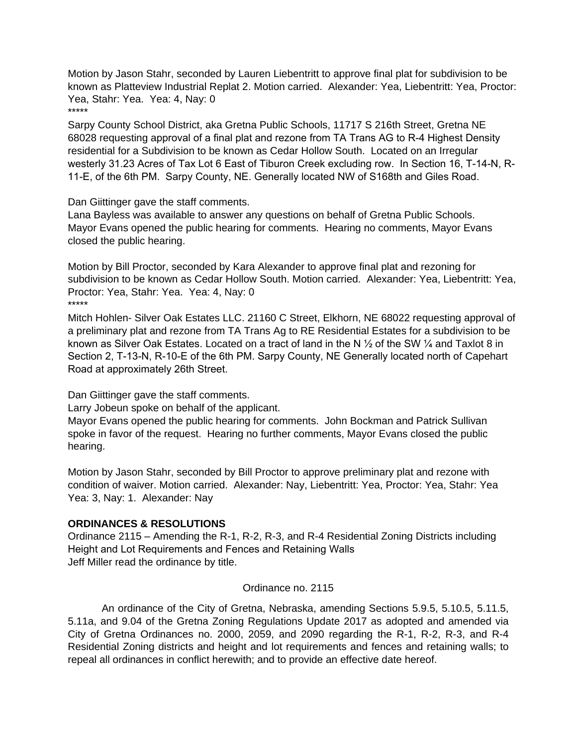Motion by Jason Stahr, seconded by Lauren Liebentritt to approve final plat for subdivision to be known as Platteview Industrial Replat 2. Motion carried. Alexander: Yea, Liebentritt: Yea, Proctor: Yea, Stahr: Yea. Yea: 4, Nay: 0 \*\*\*\*\*

Sarpy County School District, aka Gretna Public Schools, 11717 S 216th Street, Gretna NE 68028 requesting approval of a final plat and rezone from TA Trans AG to R-4 Highest Density residential for a Subdivision to be known as Cedar Hollow South. Located on an Irregular westerly 31.23 Acres of Tax Lot 6 East of Tiburon Creek excluding row. In Section 16, T-14-N, R-11-E, of the 6th PM. Sarpy County, NE. Generally located NW of S168th and Giles Road.

Dan Giittinger gave the staff comments.

Lana Bayless was available to answer any questions on behalf of Gretna Public Schools. Mayor Evans opened the public hearing for comments. Hearing no comments, Mayor Evans closed the public hearing.

Motion by Bill Proctor, seconded by Kara Alexander to approve final plat and rezoning for subdivision to be known as Cedar Hollow South. Motion carried. Alexander: Yea, Liebentritt: Yea, Proctor: Yea, Stahr: Yea. Yea: 4, Nay: 0 \*\*\*\*\*

Mitch Hohlen- Silver Oak Estates LLC. 21160 C Street, Elkhorn, NE 68022 requesting approval of a preliminary plat and rezone from TA Trans Ag to RE Residential Estates for a subdivision to be known as Silver Oak Estates. Located on a tract of land in the N  $\frac{1}{2}$  of the SW  $\frac{1}{4}$  and Taxlot 8 in Section 2, T-13-N, R-10-E of the 6th PM. Sarpy County, NE Generally located north of Capehart Road at approximately 26th Street.

Dan Giittinger gave the staff comments.

Larry Jobeun spoke on behalf of the applicant.

Mayor Evans opened the public hearing for comments. John Bockman and Patrick Sullivan spoke in favor of the request. Hearing no further comments, Mayor Evans closed the public hearing.

Motion by Jason Stahr, seconded by Bill Proctor to approve preliminary plat and rezone with condition of waiver. Motion carried. Alexander: Nay, Liebentritt: Yea, Proctor: Yea, Stahr: Yea Yea: 3, Nay: 1. Alexander: Nay

## **ORDINANCES & RESOLUTIONS**

Ordinance 2115 – Amending the R-1, R-2, R-3, and R-4 Residential Zoning Districts including Height and Lot Requirements and Fences and Retaining Walls Jeff Miller read the ordinance by title.

### Ordinance no. 2115

An ordinance of the City of Gretna, Nebraska, amending Sections 5.9.5, 5.10.5, 5.11.5, 5.11a, and 9.04 of the Gretna Zoning Regulations Update 2017 as adopted and amended via City of Gretna Ordinances no. 2000, 2059, and 2090 regarding the R-1, R-2, R-3, and R-4 Residential Zoning districts and height and lot requirements and fences and retaining walls; to repeal all ordinances in conflict herewith; and to provide an effective date hereof.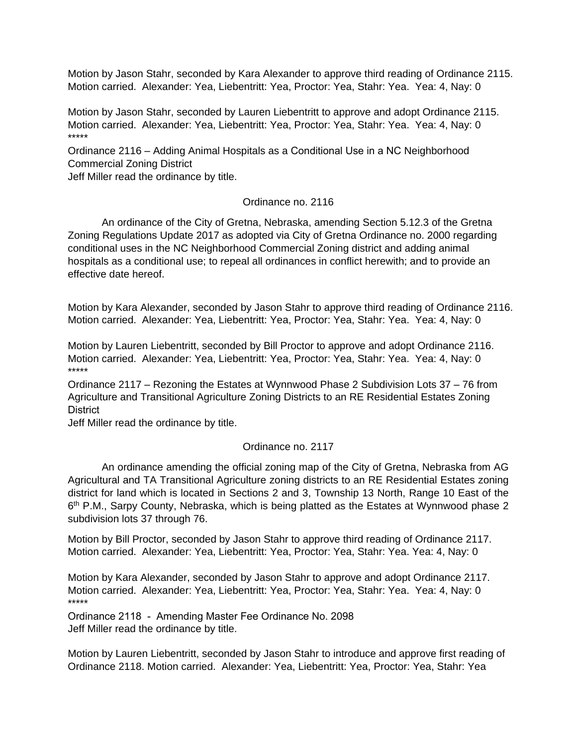Motion by Jason Stahr, seconded by Kara Alexander to approve third reading of Ordinance 2115. Motion carried. Alexander: Yea, Liebentritt: Yea, Proctor: Yea, Stahr: Yea. Yea: 4, Nay: 0

Motion by Jason Stahr, seconded by Lauren Liebentritt to approve and adopt Ordinance 2115. Motion carried. Alexander: Yea, Liebentritt: Yea, Proctor: Yea, Stahr: Yea. Yea: 4, Nay: 0 \*\*\*\*\*

Ordinance 2116 – Adding Animal Hospitals as a Conditional Use in a NC Neighborhood Commercial Zoning District

Jeff Miller read the ordinance by title.

#### Ordinance no. 2116

An ordinance of the City of Gretna, Nebraska, amending Section 5.12.3 of the Gretna Zoning Regulations Update 2017 as adopted via City of Gretna Ordinance no. 2000 regarding conditional uses in the NC Neighborhood Commercial Zoning district and adding animal hospitals as a conditional use; to repeal all ordinances in conflict herewith; and to provide an effective date hereof.

Motion by Kara Alexander, seconded by Jason Stahr to approve third reading of Ordinance 2116. Motion carried. Alexander: Yea, Liebentritt: Yea, Proctor: Yea, Stahr: Yea. Yea: 4, Nay: 0

Motion by Lauren Liebentritt, seconded by Bill Proctor to approve and adopt Ordinance 2116. Motion carried. Alexander: Yea, Liebentritt: Yea, Proctor: Yea, Stahr: Yea. Yea: 4, Nay: 0 \*\*\*\*\*

Ordinance 2117 – Rezoning the Estates at Wynnwood Phase 2 Subdivision Lots 37 – 76 from Agriculture and Transitional Agriculture Zoning Districts to an RE Residential Estates Zoning **District** 

Jeff Miller read the ordinance by title.

### Ordinance no. 2117

An ordinance amending the official zoning map of the City of Gretna, Nebraska from AG Agricultural and TA Transitional Agriculture zoning districts to an RE Residential Estates zoning district for land which is located in Sections 2 and 3, Township 13 North, Range 10 East of the 6<sup>th</sup> P.M., Sarpy County, Nebraska, which is being platted as the Estates at Wynnwood phase 2 subdivision lots 37 through 76.

Motion by Bill Proctor, seconded by Jason Stahr to approve third reading of Ordinance 2117. Motion carried. Alexander: Yea, Liebentritt: Yea, Proctor: Yea, Stahr: Yea. Yea: 4, Nay: 0

Motion by Kara Alexander, seconded by Jason Stahr to approve and adopt Ordinance 2117. Motion carried. Alexander: Yea, Liebentritt: Yea, Proctor: Yea, Stahr: Yea. Yea: 4, Nay: 0 \*\*\*\*\*

Ordinance 2118 - Amending Master Fee Ordinance No. 2098 Jeff Miller read the ordinance by title.

Motion by Lauren Liebentritt, seconded by Jason Stahr to introduce and approve first reading of Ordinance 2118. Motion carried. Alexander: Yea, Liebentritt: Yea, Proctor: Yea, Stahr: Yea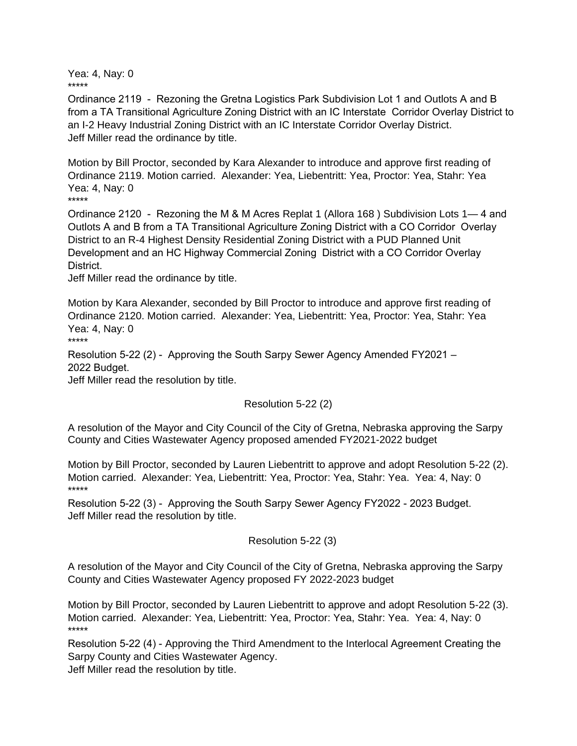Yea: 4, Nay: 0 \*\*\*\*\*

Ordinance 2119 - Rezoning the Gretna Logistics Park Subdivision Lot 1 and Outlots A and B from a TA Transitional Agriculture Zoning District with an IC Interstate Corridor Overlay District to an I-2 Heavy Industrial Zoning District with an IC Interstate Corridor Overlay District. Jeff Miller read the ordinance by title.

Motion by Bill Proctor, seconded by Kara Alexander to introduce and approve first reading of Ordinance 2119. Motion carried. Alexander: Yea, Liebentritt: Yea, Proctor: Yea, Stahr: Yea Yea: 4, Nay: 0 \*\*\*\*\*

Ordinance 2120 - Rezoning the M & M Acres Replat 1 (Allora 168 ) Subdivision Lots 1— 4 and Outlots A and B from a TA Transitional Agriculture Zoning District with a CO Corridor Overlay District to an R-4 Highest Density Residential Zoning District with a PUD Planned Unit Development and an HC Highway Commercial Zoning District with a CO Corridor Overlay District.

Jeff Miller read the ordinance by title.

Motion by Kara Alexander, seconded by Bill Proctor to introduce and approve first reading of Ordinance 2120. Motion carried. Alexander: Yea, Liebentritt: Yea, Proctor: Yea, Stahr: Yea Yea: 4, Nay: 0 \*\*\*\*\*

Resolution 5-22 (2) - Approving the South Sarpy Sewer Agency Amended FY2021 – 2022 Budget.

Jeff Miller read the resolution by title.

### Resolution 5-22 (2)

A resolution of the Mayor and City Council of the City of Gretna, Nebraska approving the Sarpy County and Cities Wastewater Agency proposed amended FY2021-2022 budget

Motion by Bill Proctor, seconded by Lauren Liebentritt to approve and adopt Resolution 5-22 (2). Motion carried. Alexander: Yea, Liebentritt: Yea, Proctor: Yea, Stahr: Yea. Yea: 4, Nay: 0 \*\*\*\*\*

Resolution 5-22 (3) - Approving the South Sarpy Sewer Agency FY2022 - 2023 Budget. Jeff Miller read the resolution by title.

### Resolution 5-22 (3)

A resolution of the Mayor and City Council of the City of Gretna, Nebraska approving the Sarpy County and Cities Wastewater Agency proposed FY 2022-2023 budget

Motion by Bill Proctor, seconded by Lauren Liebentritt to approve and adopt Resolution 5-22 (3). Motion carried. Alexander: Yea, Liebentritt: Yea, Proctor: Yea, Stahr: Yea. Yea: 4, Nay: 0 \*\*\*\*\*

Resolution 5-22 (4) - Approving the Third Amendment to the Interlocal Agreement Creating the Sarpy County and Cities Wastewater Agency.

Jeff Miller read the resolution by title.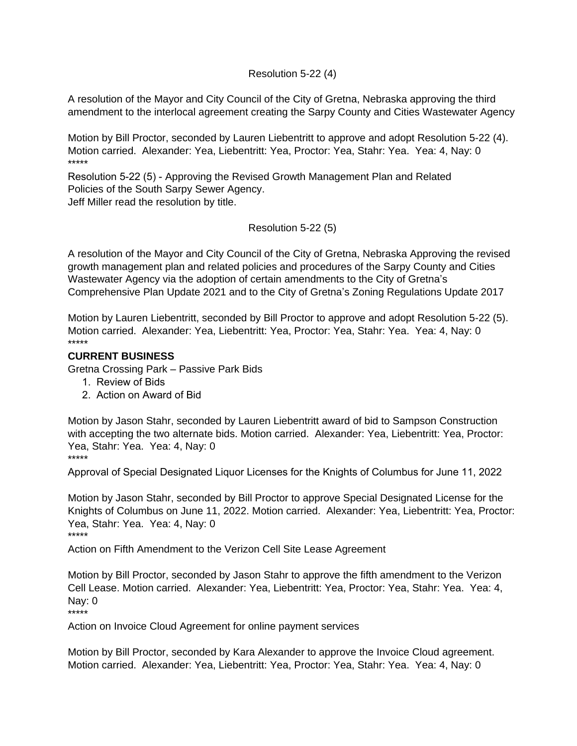### Resolution 5-22 (4)

A resolution of the Mayor and City Council of the City of Gretna, Nebraska approving the third amendment to the interlocal agreement creating the Sarpy County and Cities Wastewater Agency

Motion by Bill Proctor, seconded by Lauren Liebentritt to approve and adopt Resolution 5-22 (4). Motion carried. Alexander: Yea, Liebentritt: Yea, Proctor: Yea, Stahr: Yea. Yea: 4, Nay: 0 \*\*\*\*\*

Resolution 5-22 (5) - Approving the Revised Growth Management Plan and Related Policies of the South Sarpy Sewer Agency. Jeff Miller read the resolution by title.

Resolution 5-22 (5)

A resolution of the Mayor and City Council of the City of Gretna, Nebraska Approving the revised growth management plan and related policies and procedures of the Sarpy County and Cities Wastewater Agency via the adoption of certain amendments to the City of Gretna's Comprehensive Plan Update 2021 and to the City of Gretna's Zoning Regulations Update 2017

Motion by Lauren Liebentritt, seconded by Bill Proctor to approve and adopt Resolution 5-22 (5). Motion carried. Alexander: Yea, Liebentritt: Yea, Proctor: Yea, Stahr: Yea. Yea: 4, Nay: 0 \*\*\*\*\*

#### **CURRENT BUSINESS**

Gretna Crossing Park – Passive Park Bids

- 1. Review of Bids
- 2. Action on Award of Bid

Motion by Jason Stahr, seconded by Lauren Liebentritt award of bid to Sampson Construction with accepting the two alternate bids. Motion carried. Alexander: Yea, Liebentritt: Yea, Proctor: Yea, Stahr: Yea. Yea: 4, Nay: 0 \*\*\*\*\*

Approval of Special Designated Liquor Licenses for the Knights of Columbus for June 11, 2022

Motion by Jason Stahr, seconded by Bill Proctor to approve Special Designated License for the Knights of Columbus on June 11, 2022. Motion carried. Alexander: Yea, Liebentritt: Yea, Proctor: Yea, Stahr: Yea. Yea: 4, Nay: 0 \*\*\*\*\*

Action on Fifth Amendment to the Verizon Cell Site Lease Agreement

Motion by Bill Proctor, seconded by Jason Stahr to approve the fifth amendment to the Verizon Cell Lease. Motion carried. Alexander: Yea, Liebentritt: Yea, Proctor: Yea, Stahr: Yea. Yea: 4, Nay: 0

\*\*\*\*\*

Action on Invoice Cloud Agreement for online payment services

Motion by Bill Proctor, seconded by Kara Alexander to approve the Invoice Cloud agreement. Motion carried. Alexander: Yea, Liebentritt: Yea, Proctor: Yea, Stahr: Yea. Yea: 4, Nay: 0